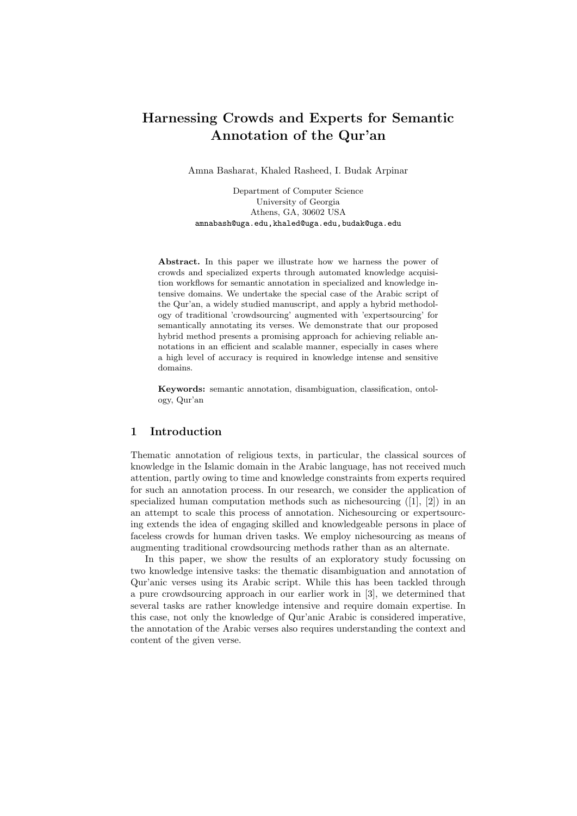# Harnessing Crowds and Experts for Semantic Annotation of the Qur'an

Amna Basharat, Khaled Rasheed, I. Budak Arpinar

Department of Computer Science University of Georgia Athens, GA, 30602 USA amnabash@uga.edu,khaled@uga.edu,budak@uga.edu

Abstract. In this paper we illustrate how we harness the power of crowds and specialized experts through automated knowledge acquisition workflows for semantic annotation in specialized and knowledge intensive domains. We undertake the special case of the Arabic script of the Qur'an, a widely studied manuscript, and apply a hybrid methodology of traditional 'crowdsourcing' augmented with 'expertsourcing' for semantically annotating its verses. We demonstrate that our proposed hybrid method presents a promising approach for achieving reliable annotations in an efficient and scalable manner, especially in cases where a high level of accuracy is required in knowledge intense and sensitive domains.

Keywords: semantic annotation, disambiguation, classification, ontology, Qur'an

# 1 Introduction

Thematic annotation of religious texts, in particular, the classical sources of knowledge in the Islamic domain in the Arabic language, has not received much attention, partly owing to time and knowledge constraints from experts required for such an annotation process. In our research, we consider the application of specialized human computation methods such as nichesourcing  $([1], [2])$  in an an attempt to scale this process of annotation. Nichesourcing or expertsourcing extends the idea of engaging skilled and knowledgeable persons in place of faceless crowds for human driven tasks. We employ nichesourcing as means of augmenting traditional crowdsourcing methods rather than as an alternate.

In this paper, we show the results of an exploratory study focussing on two knowledge intensive tasks: the thematic disambiguation and annotation of Qur'anic verses using its Arabic script. While this has been tackled through a pure crowdsourcing approach in our earlier work in [3], we determined that several tasks are rather knowledge intensive and require domain expertise. In this case, not only the knowledge of Qur'anic Arabic is considered imperative, the annotation of the Arabic verses also requires understanding the context and content of the given verse.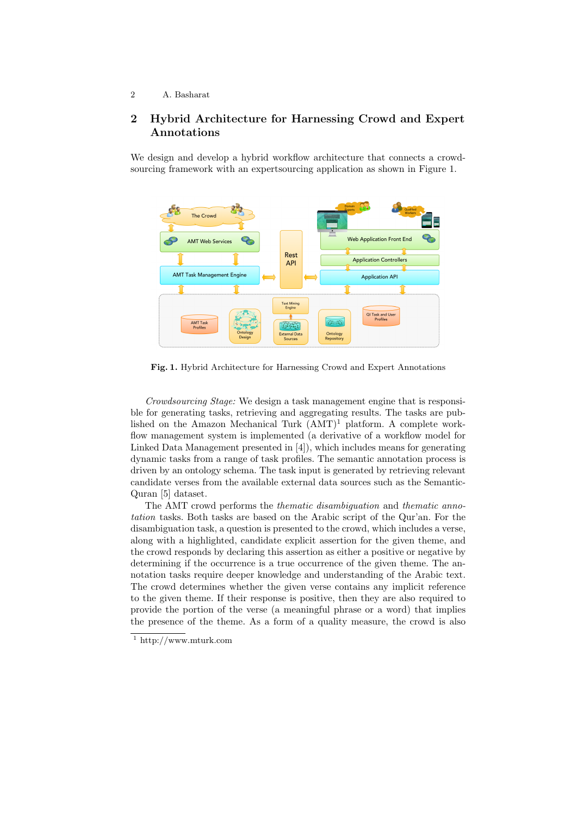#### 2 A. Basharat

# 2 Hybrid Architecture for Harnessing Crowd and Expert Annotations

We design and develop a hybrid workflow architecture that connects a crowdsourcing framework with an expertsourcing application as shown in Figure 1.



Fig. 1. Hybrid Architecture for Harnessing Crowd and Expert Annotations

Crowdsourcing Stage: We design a task management engine that is responsible for generating tasks, retrieving and aggregating results. The tasks are published on the Amazon Mechanical Turk  $(AMT)^1$  platform. A complete workflow management system is implemented (a derivative of a workflow model for Linked Data Management presented in [4]), which includes means for generating dynamic tasks from a range of task profiles. The semantic annotation process is driven by an ontology schema. The task input is generated by retrieving relevant candidate verses from the available external data sources such as the Semantic-Quran [5] dataset.

The AMT crowd performs the thematic disambiguation and thematic annotation tasks. Both tasks are based on the Arabic script of the Qur'an. For the disambiguation task, a question is presented to the crowd, which includes a verse, along with a highlighted, candidate explicit assertion for the given theme, and the crowd responds by declaring this assertion as either a positive or negative by determining if the occurrence is a true occurrence of the given theme. The annotation tasks require deeper knowledge and understanding of the Arabic text. The crowd determines whether the given verse contains any implicit reference to the given theme. If their response is positive, then they are also required to provide the portion of the verse (a meaningful phrase or a word) that implies the presence of the theme. As a form of a quality measure, the crowd is also

 $^{\rm 1}$ http://www.mturk.com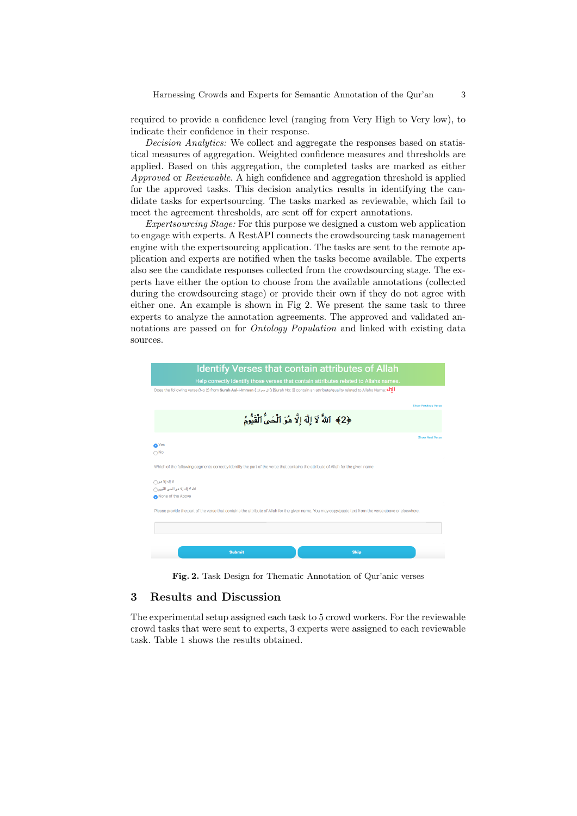required to provide a confidence level (ranging from Very High to Very low), to indicate their confidence in their response.

Decision Analytics: We collect and aggregate the responses based on statistical measures of aggregation. Weighted confidence measures and thresholds are applied. Based on this aggregation, the completed tasks are marked as either Approved or Reviewable. A high confidence and aggregation threshold is applied for the approved tasks. This decision analytics results in identifying the candidate tasks for expertsourcing. The tasks marked as reviewable, which fail to meet the agreement thresholds, are sent off for expert annotations.

Expertsourcing Stage: For this purpose we designed a custom web application to engage with experts. A RestAPI connects the crowdsourcing task management engine with the expertsourcing application. The tasks are sent to the remote application and experts are notified when the tasks become available. The experts also see the candidate responses collected from the crowdsourcing stage. The experts have either the option to choose from the available annotations (collected during the crowdsourcing stage) or provide their own if they do not agree with either one. An example is shown in Fig 2. We present the same task to three experts to analyze the annotation agreements. The approved and validated annotations are passed on for *Ontology Population* and linked with existing data sources.



Fig. 2. Task Design for Thematic Annotation of Qur'anic verses

# 3 Results and Discussion

The experimental setup assigned each task to 5 crowd workers. For the reviewable crowd tasks that were sent to experts, 3 experts were assigned to each reviewable task. Table 1 shows the results obtained.